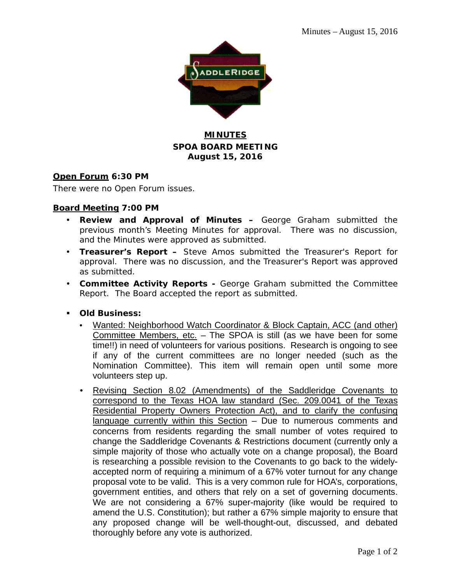

## **MINUTES SPOA BOARD MEETING August 15, 2016**

### **Open Forum 6:30 PM**

There were no Open Forum issues.

### **Board Meeting 7:00 PM**

- **Review and Approval of Minutes –** George Graham submitted the previous month's Meeting Minutes for approval. There was no discussion, and the Minutes were approved as submitted.
- **Treasurer's Report –** Steve Amos submitted the Treasurer's Report for approval. There was no discussion, and the Treasurer's Report was approved as submitted.
- **Committee Activity Reports -** George Graham submitted the Committee Report. The Board accepted the report as submitted.
- **Old Business:**
	- Wanted: Neighborhood Watch Coordinator & Block Captain, ACC (and other) Committee Members, etc. – The SPOA is still (as we have been for some time!!) in need of volunteers for various positions. Research is ongoing to see if any of the current committees are no longer needed (such as the Nomination Committee). This item will remain open until some more volunteers step up.
	- Revising Section 8.02 (Amendments) of the Saddleridge Covenants to correspond to the Texas HOA law standard (Sec. 209.0041 of the Texas Residential Property Owners Protection Act), and to clarify the confusing language currently within this Section - Due to numerous comments and concerns from residents regarding the small number of votes required to change the Saddleridge Covenants & Restrictions document (currently only a simple majority of those who actually vote on a change proposal), the Board is researching a possible revision to the Covenants to go back to the widelyaccepted norm of requiring a minimum of a 67% voter turnout for any change proposal vote to be valid. This is a very common rule for HOA's, corporations, government entities, and others that rely on a set of governing documents. We are not considering a 67% super-majority (like would be required to amend the U.S. Constitution); but rather a 67% simple majority to ensure that any proposed change will be well-thought-out, discussed, and debated thoroughly before any vote is authorized.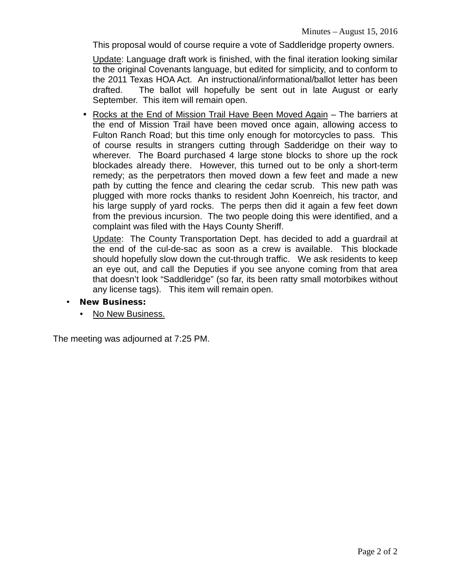This proposal would of course require a vote of Saddleridge property owners.

Update: Language draft work is finished, with the final iteration looking similar to the original Covenants language, but edited for simplicity, and to conform to the 2011 Texas HOA Act. An instructional/informational/ballot letter has been drafted. The ballot will hopefully be sent out in late August or early September. This item will remain open.

• Rocks at the End of Mission Trail Have Been Moved Again – The barriers at the end of Mission Trail have been moved once again, allowing access to Fulton Ranch Road; but this time only enough for motorcycles to pass. This of course results in strangers cutting through Sadderidge on their way to wherever. The Board purchased 4 large stone blocks to shore up the rock blockades already there. However, this turned out to be only a short-term remedy; as the perpetrators then moved down a few feet and made a new path by cutting the fence and clearing the cedar scrub. This new path was plugged with more rocks thanks to resident John Koenreich, his tractor, and his large supply of yard rocks. The perps then did it again a few feet down from the previous incursion. The two people doing this were identified, and a complaint was filed with the Hays County Sheriff.

Update: The County Transportation Dept. has decided to add a guardrail at the end of the cul-de-sac as soon as a crew is available. This blockade should hopefully slow down the cut-through traffic. We ask residents to keep an eye out, and call the Deputies if you see anyone coming from that area that doesn't look "Saddleridge" (so far, its been ratty small motorbikes without any license tags). This item will remain open.

- **New Business:**
	- No New Business.

The meeting was adjourned at 7:25 PM.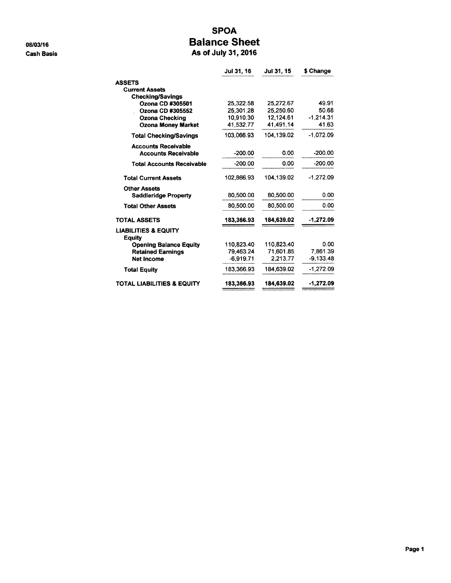08/03/16 **Cash Basis** 

### **SPOA Balance Sheet** As of July 31, 2016

|                                                  | Jul 31, 16  | Jul 31, 15 | \$ Change   |
|--------------------------------------------------|-------------|------------|-------------|
| <b>ASSETS</b>                                    |             |            |             |
| <b>Current Assets</b>                            |             |            |             |
| <b>Checking/Savings</b>                          |             |            |             |
| Ozona CD #305501                                 | 25,322.58   | 25,272.67  | 49.91       |
| Ozona CD #305552                                 | 25.301.28   | 25.250.60  | 50.68       |
| <b>Ozona Checking</b>                            | 10,910.30   | 12,124.61  | $-1,214.31$ |
| <b>Ozona Money Market</b>                        | 41,532.77   | 41,491.14  | 41.63       |
| <b>Total Checking/Savings</b>                    | 103,066.93  | 104.139.02 | $-1,072.09$ |
| <b>Accounts Receivable</b>                       |             |            |             |
| <b>Accounts Receivable</b>                       | $-200.00$   | 0.00       | -200.00     |
| <b>Total Accounts Receivable</b>                 | $-200.00$   | 0.00       | $-200.00$   |
| <b>Total Current Assets</b>                      | 102,866.93  | 104.139.02 | $-1.272.09$ |
| <b>Other Assets</b>                              |             |            |             |
| <b>Saddleridge Property</b>                      | 80,500.00   | 80,500.00  | 0.00        |
| <b>Total Other Assets</b>                        | 80,500.00   | 80.500.00  | 0.00        |
| <b>TOTAL ASSETS</b>                              | 183,366.93  | 184,639.02 | -1,272.09   |
| <b>LIABILITIES &amp; EQUITY</b><br><b>Equity</b> |             |            |             |
| <b>Opening Balance Equity</b>                    | 110.823.40  | 110,823.40 | 0.00        |
| <b>Retained Earnings</b>                         | 79,463.24   | 71.601.85  | 7.861.39    |
| <b>Net Income</b>                                | $-6.919.71$ | 2.213.77   | $-9,133.48$ |
| <b>Total Equity</b>                              | 183.366.93  | 184.639.02 | $-1,272.09$ |
| <b>TOTAL LIABILITIES &amp; EQUITY</b>            | 183,366.93  | 184,639.02 | $-1,272.09$ |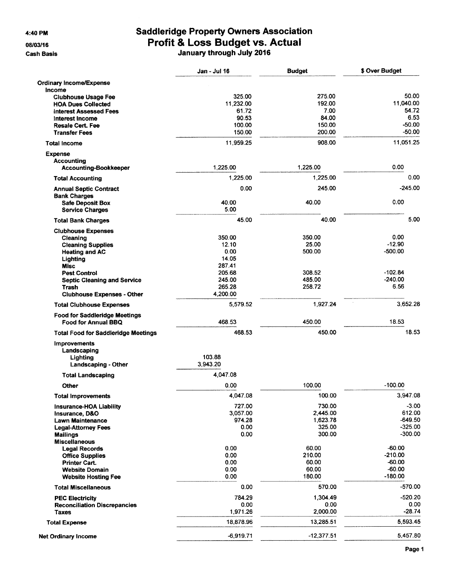4:40 PM

08/03/16

**Cash Basis** 

## **Saddleridge Property Owners Association** Profit & Loss Budget vs. Actual<br>January through July 2016

|                                              | <b>Jan - Jul 16</b> | <b>Budget</b>    | \$ Over Budget        |
|----------------------------------------------|---------------------|------------------|-----------------------|
| <b>Ordinary Income/Expense</b>               |                     |                  |                       |
| Income                                       |                     |                  |                       |
| <b>Clubhouse Usage Fee</b>                   | 325.00              | 275.00           | 50.00                 |
| <b>HOA Dues Collected</b>                    | 11,232.00           | 192.00           | 11.040.00             |
| <b>Interest Assessed Fees</b>                | 61.72               | 7.00             | 54.72                 |
| <b>Interest Income</b>                       | 90.53               | 84.00            | 6.53                  |
| <b>Resale Cert. Fee</b>                      | 100.00              | 150.00<br>200.00 | $-50.00$<br>$-50.00$  |
| <b>Transfer Fees</b>                         | 150.00              |                  |                       |
| Total Income                                 | 11.959.25           | 908.00           | 11.051.25             |
| <b>Expense</b>                               |                     |                  |                       |
| <b>Accounting</b>                            | 1,225.00            | 1,225.00         | 0.00                  |
| Accounting-Bookkeeper                        |                     |                  |                       |
| <b>Total Accounting</b>                      | 1,225.00            | 1,225.00         | 0.00                  |
| <b>Annual Septic Contract</b>                | 0.00                | 245.00           | $-245.00$             |
| <b>Bank Charges</b>                          |                     |                  | 0.00                  |
| <b>Safe Deposit Box</b>                      | 40.00<br>5.00       | 40.00            |                       |
| <b>Service Charges</b>                       |                     |                  |                       |
| <b>Total Bank Charges</b>                    | 45.00               | 40.00            | 5.00                  |
| <b>Clubhouse Expenses</b>                    |                     |                  |                       |
| Cleaning                                     | 350.00              | 350.00           | 0.00                  |
| <b>Cleaning Supplies</b>                     | 12.10<br>0.00       | 25.00<br>500.00  | $-12.90$<br>$-500.00$ |
| <b>Heating and AC</b>                        | 14.05               |                  |                       |
| Lighting<br><b>Misc</b>                      | 287.41              |                  |                       |
| <b>Pest Control</b>                          | 205.68              | 308.52           | $-102.84$             |
| <b>Septic Cleaning and Service</b>           | 245.00              | 485.00           | $-240.00$             |
| Trash                                        | 265.28              | 258.72           | 6.56                  |
| <b>Clubhouse Expenses - Other</b>            | 4,200.00            |                  |                       |
| <b>Total Clubhouse Expenses</b>              | 5,579.52            | 1,927.24         | 3.652.28              |
| <b>Food for Saddleridge Meetings</b>         |                     |                  |                       |
| Food for Annual BBQ                          | 468.53              | 450.00           | 18.53                 |
| <b>Total Food for Saddleridge Meetings</b>   | 468.53              | 450.00           | 18.53                 |
| <b>Improvements</b>                          |                     |                  |                       |
| Landscaping                                  |                     |                  |                       |
| Lighting                                     | 103.88              |                  |                       |
| Landscaping - Other                          | 3.943.20            |                  |                       |
| <b>Total Landscaping</b>                     | 4.047.08            |                  |                       |
| Other                                        | 0.00                | 100.00           | $-100.00$             |
| Total Improvements                           | 4,047.08            | 100.00           | 3.947.08              |
| <b>Insurance-HOA Liability</b>               | 727.00              | 730.00           | $-3.00$               |
| Insurance, D&O                               | 3,057.00            | 2,445.00         | 612.00                |
| <b>Lawn Maintenance</b>                      | 974.28              | 1,623.78         | $-649.50$             |
| <b>Legal-Attorney Fees</b>                   | 0.00                | 325.00           | $-325.00$             |
| <b>Mailings</b>                              | 0.00                | 300.00           | $-300.00$             |
| <b>Miscellaneous</b><br><b>Legal Records</b> | 0.00                | 60.00            | $-60.00$              |
| <b>Office Supplies</b>                       | 0.00                | 210.00           | $-210.00$             |
| <b>Printer Cart.</b>                         | 0.00                | 60.00            | $-60.00$              |
| <b>Website Domain</b>                        | 0.00                | 60.00            | $-60.00$              |
| <b>Website Hosting Fee</b>                   | 0.00                | 180.00           | $-180.00$             |
| <b>Total Miscellaneous</b>                   | 0.00                | 570.00           | $-570.00$             |
| <b>PEC Electricity</b>                       | 784.29              | 1,304.49         | $-520.20$             |
| <b>Reconciliation Discrepancies</b>          | 0.00                | 0.00             | 0.00                  |
| <b>Taxes</b>                                 | 1,971.26            | 2,000.00         | $-28.74$              |
| <b>Total Expense</b>                         | 18,878.96           | 13,285.51        | 5,593.45              |
| <b>Net Ordinary Income</b>                   | $-6,919.71$         | $-12,377.51$     | 5,457.80              |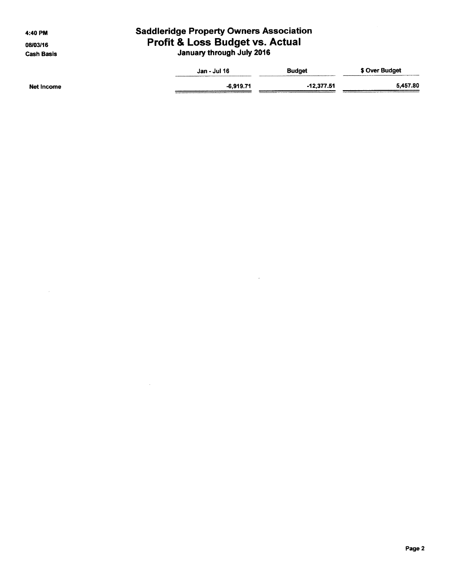4:40 PM

08/03/16 **Cash Basis** 

# **Saddleridge Property Owners Association** Profit & Loss Budget vs. Actual<br>January through July 2016

|            | Jan - Jul 16 | <b>Budget</b> | \$ Over Budget<br>_________<br>The Company's the State State Company |
|------------|--------------|---------------|----------------------------------------------------------------------|
| Net Income | $-6,919.71$  | $-12,377.51$  | 5.457.80<br>,,,,,,,,,,,,,,,,                                         |

 $\hat{\mathcal{L}}$ 

 $\mathcal{A}^{\mathcal{A}}$